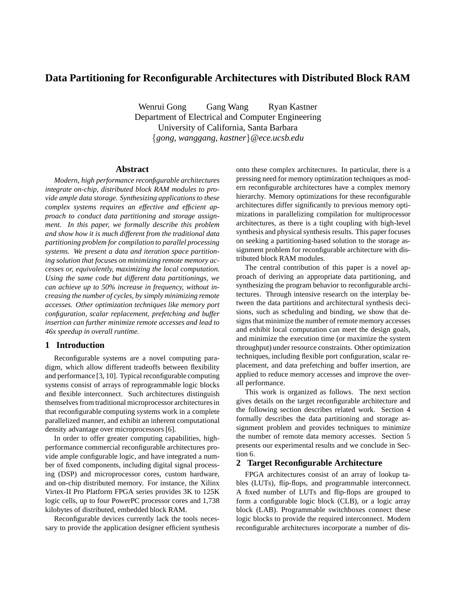# **Data Partitioning for Reconfigurable Architectures with Distributed Block RAM**

Wenrui Gong Gang Wang Ryan Kastner Department of Electrical and Computer Engineering University of California, Santa Barbara {*gong, wanggang, kastner*}*@ece.ucsb.edu*

# **Abstract**

*Modern, high performance reconfigurable architectures integrate on-chip, distributed block RAM modules to provide ample data storage. Synthesizing applications to these complex systems requires an effective and efficient approach to conduct data partitioning and storage assignment. In this paper, we formally describe this problem and show how it is much different from the traditional data partitioning problem for compilation to parallel processing systems. We present a data and iteration space partitioning solution that focuses on minimizing remote memory accesses or, equivalently, maximizing the local computation. Using the same code but different data partitionings, we can achieve up to 50% increase in frequency, without increasing the number of cycles, by simply minimizing remote accesses. Other optimization techniques like memory port configuration, scalar replacement, prefetching and buffer insertion can further minimize remote accesses and lead to 46x speedup in overall runtime.*

# **1 Introduction**

Reconfigurable systems are a novel computing paradigm, which allow different tradeoffs between flexibility and performance [3, 10]. Typical reconfigurable computing systems consist of arrays of reprogrammable logic blocks and flexible interconnect. Such architectures distinguish themselves from traditional microprocessor architectures in that reconfigurable computing systems work in a complete parallelized manner, and exhibit an inherent computational density advantage over microprocessors [6].

In order to offer greater computing capabilities, highperformance commercial reconfigurable architectures provide ample configurable logic, and have integrated a number of fixed components, including digital signal processing (DSP) and microprocessor cores, custom hardware, and on-chip distributed memory. For instance, the Xilinx Virtex-II Pro Platform FPGA series provides 3K to 125K logic cells, up to four PowerPC processor cores and 1,738 kilobytes of distributed, embedded block RAM.

Reconfigurable devices currently lack the tools necessary to provide the application designer efficient synthesis onto these complex architectures. In particular, there is a pressing need for memory optimization techniques as modern reconfigurable architectures have a complex memory hierarchy. Memory optimizations for these reconfigurable architectures differ significantly to previous memory optimizations in parallelizing compilation for multiprocessor architectures, as there is a tight coupling with high-level synthesis and physical synthesis results. This paper focuses on seeking a partitioning-based solution to the storage assignment problem for reconfigurable architecture with distributed block RAM modules.

The central contribution of this paper is a novel approach of deriving an appropriate data partitioning, and synthesizing the program behavior to reconfigurable architectures. Through intensive research on the interplay between the data partitions and architectural synthesis decisions, such as scheduling and binding, we show that designs that minimize the number of remote memory accesses and exhibit local computation can meet the design goals, and minimize the execution time (or maximize the system throughput) under resource constraints. Other optimization techniques, including flexible port configuration, scalar replacement, and data prefetching and buffer insertion, are applied to reduce memory accesses and improve the overall performance.

This work is organized as follows. The next section gives details on the target reconfigurable architecture and the following section describes related work. Section 4 formally describes the data partitioning and storage assignment problem and provides techniques to minimize the number of remote data memory accesses. Section 5 presents our experimental results and we conclude in Section 6.

## **2 Target Reconfigurable Architecture**

FPGA architectures consist of an array of lookup tables (LUTs), flip-flops, and programmable interconnect. A fixed number of LUTs and flip-flops are grouped to form a configurable logic block (CLB), or a logic array block (LAB). Programmable switchboxes connect these logic blocks to provide the required interconnect. Modern reconfigurable architectures incorporate a number of dis-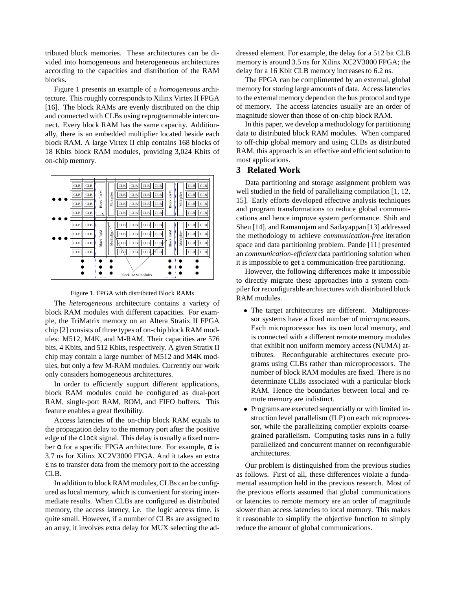tributed block memories. These architectures can be divided into homogeneous and heterogeneous architectures according to the capacities and distribution of the RAM blocks.

Figure 1 presents an example of a *homogeneous* architecture. This roughly corresponds to Xilinx Virtex II FPGA [16]. The block RAMs are evenly distributed on the chip and connected with CLBs using reprogrammable interconnect. Every block RAM has the same capacity. Additionally, there is an embedded multiplier located beside each block RAM. A large Virtex II chip contains 168 blocks of 18 Kbits block RAM modules, providing 3,024 Kbits of on-chip memory.



Figure 1. FPGA with distributed Block RAMs

The *heterogeneous* architecture contains a variety of block RAM modules with different capacities. For example, the TriMatrix memory on an Altera Stratix II FPGA chip [2] consists of three types of on-chip block RAM modules: M512, M4K, and M-RAM. Their capacities are 576 bits, 4 Kbits, and 512 Kbits, respectively. A given Stratix II chip may contain a large number of M512 and M4K modules, but only a few M-RAM modules. Currently our work only considers homogeneous architectures.

In order to efficiently support different applications, block RAM modules could be configured as dual-port RAM, single-port RAM, ROM, and FIFO buffers. This feature enables a great flexibility.

Access latencies of the on-chip block RAM equals to the propagation delay to the memory port after the positive edge of the clock signal. This delay is usually a fixed number  $\alpha$  for a specific FPGA architecture. For example,  $\alpha$  is 3.7 ns for Xilinx XC2V3000 FPGA. And it takes an extra  $\epsilon$  ns to transfer data from the memory port to the accessing CLB.

In addition to block RAM modules, CLBs can be configured as local memory, which is convenient for storing intermediate results. When CLBs are configured as distributed memory, the access latency, i.e. the logic access time, is quite small. However, if a number of CLBs are assigned to an array, it involves extra delay for MUX selecting the addressed element. For example, the delay for a 512 bit CLB memory is around 3.5 ns for Xilinx XC2V3000 FPGA; the delay for a 16 Kbit CLB memory increases to 6.2 ns.

The FPGA can be complimented by an external, global memory for storing large amounts of data. Access latencies to the external memory depend on the bus protocol and type of memory. The access latencies usually are an order of magnitude slower than those of on-chip block RAM.

In this paper, we develop a methodology for partitioning data to distributed block RAM modules. When compared to off-chip global memory and using CLBs as distributed RAM, this approach is an effective and efficient solution to most applications.

# **3 Related Work**

Data partitioning and storage assignment problem was well studied in the field of parallelizing compilation [1, 12, 15]. Early efforts developed effective analysis techniques and program transformations to reduce global communications and hence improve system performance. Shih and Sheu [14], and Ramanujam and Sadayappan [13] addressed the methodology to achieve *communication-free* iteration space and data partitioning problem. Pande [11] presented an *communication-efficient* data partitioning solution when it is impossible to get a communication-free partitioning.

However, the following differences make it impossible to directly migrate these approaches into a system compiler for reconfigurable architectures with distributed block RAM modules.

- The target architectures are different. Multiprocessor systems have a fixed number of microprocessors. Each microprocessor has its own local memory, and is connected with a different remote memory modules that exhibit non uniform memory access (NUMA) attributes. Reconfigurable architectures execute programs using CLBs rather than microprocessors. The number of block RAM modules are fixed. There is no determinate CLBs associated with a particular block RAM. Hence the boundaries between local and remote memory are indistinct.
- Programs are executed sequentially or with limited instruction level parallelism (ILP) on each microprocessor, while the parallelizing compiler exploits coarsegrained parallelism. Computing tasks runs in a fully parallelized and concurrent manner on reconfigurable architectures.

Our problem is distinguished from the previous studies as follows. First of all, these differences violate a fundamental assumption held in the previous research. Most of the previous efforts assumed that global communications or latencies to remote memory are an order of magnitude slower than access latencies to local memory. This makes it reasonable to simplify the objective function to simply reduce the amount of global communications.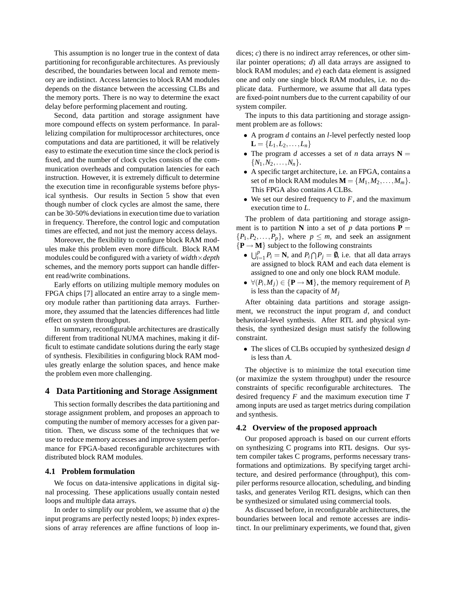This assumption is no longer true in the context of data partitioning for reconfigurable architectures. As previously described, the boundaries between local and remote memory are indistinct. Access latencies to block RAM modules depends on the distance between the accessing CLBs and the memory ports. There is no way to determine the exact delay before performing placement and routing.

Second, data partition and storage assignment have more compound effects on system performance. In parallelizing compilation for multiprocessor architectures, once computations and data are partitioned, it will be relatively easy to estimate the execution time since the clock period is fixed, and the number of clock cycles consists of the communication overheads and computation latencies for each instruction. However, it is extremely difficult to determine the execution time in reconfigurable systems before physical synthesis. Our results in Section 5 show that even though number of clock cycles are almost the same, there can be 30-50% deviations in execution time due to variation in frequency. Therefore, the control logic and computation times are effected, and not just the memory access delays.

Moreover, the flexibility to configure block RAM modules make this problem even more difficult. Block RAM modules could be configured with a variety of *width*×*depth* schemes, and the memory ports support can handle different read/write combinations.

Early efforts on utilizing multiple memory modules on FPGA chips [7] allocated an entire array to a single memory module rather than partitioning data arrays. Furthermore, they assumed that the latencies differences had little effect on system throughput.

In summary, reconfigurable architectures are drastically different from traditional NUMA machines, making it difficult to estimate candidate solutions during the early stage of synthesis. Flexibilities in configuring block RAM modules greatly enlarge the solution spaces, and hence make the problem even more challenging.

# **4 Data Partitioning and Storage Assignment**

This section formally describes the data partitioning and storage assignment problem, and proposes an approach to computing the number of memory accesses for a given partition. Then, we discuss some of the techniques that we use to reduce memory accesses and improve system performance for FPGA-based reconfigurable architectures with distributed block RAM modules.

### **4.1 Problem formulation**

We focus on data-intensive applications in digital signal processing. These applications usually contain nested loops and multiple data arrays.

In order to simplify our problem, we assume that *a*) the input programs are perfectly nested loops; *b*) index expressions of array references are affine functions of loop indices; *c*) there is no indirect array references, or other similar pointer operations; *d*) all data arrays are assigned to block RAM modules; and *e*) each data element is assigned one and only one single block RAM modules, i.e. no duplicate data. Furthermore, we assume that all data types are fixed-point numbers due to the current capability of our system compiler.

The inputs to this data partitioning and storage assignment problem are as follows:

- A program *d* contains an *l*-level perfectly nested loop  $L = \{L_1, L_2, \ldots, L_n\}$
- The program *d* accesses a set of *n* data arrays  $N =$  $\{N_1, N_2, \ldots, N_n\}.$
- A specific target architecture, i.e. an FPGA, contains a set of *m* block RAM modules  $\mathbf{M} = \{M_1, M_2, \ldots, M_m\}.$ This FPGA also contains *A* CLBs.
- We set our desired frequency to  $F$ , and the maximum execution time to *L*.

The problem of data partitioning and storage assignment is to partition **N** into a set of  $p$  data portions **P** =  ${P_1, P_2, \ldots, P_p}$ , where  $p \leq m$ , and seek an assignment  ${P \rightarrow M}$  subject to the following constraints

- $\bigcup_{i=1}^{p} P_i = \mathbb{N}$ , and  $P_i \bigcap P_j = \emptyset$ , i.e. that all data arrays are assigned to block RAM and each data element is assigned to one and only one block RAM module.
- $\forall (P_i, M_j) \in {\bf P} \rightarrow {\bf M}$ , the memory requirement of  $P_i$ is less than the capacity of  $M_i$

After obtaining data partitions and storage assignment, we reconstruct the input program *d*, and conduct behavioral-level synthesis. After RTL and physical synthesis, the synthesized design must satisfy the following constraint.

• The slices of CLBs occupied by synthesized design *d* is less than *A*.

The objective is to minimize the total execution time (or maximize the system throughput) under the resource constraints of specific reconfigurable architectures. The desired frequency *F* and the maximum execution time *T* among inputs are used as target metrics during compilation and synthesis.

### **4.2 Overview of the proposed approach**

Our proposed approach is based on our current efforts on synthesizing C programs into RTL designs. Our system compiler takes C programs, performs necessary transformations and optimizations. By specifying target architecture, and desired performance (throughput), this compiler performs resource allocation, scheduling, and binding tasks, and generates Verilog RTL designs, which can then be synthesized or simulated using commercial tools.

As discussed before, in reconfigurable architectures, the boundaries between local and remote accesses are indistinct. In our preliminary experiments, we found that, given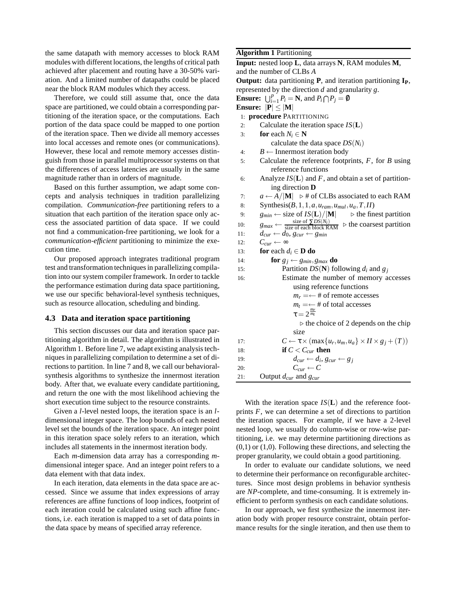the same datapath with memory accesses to block RAM modules with different locations, the lengths of critical path achieved after placement and routing have a 30-50% variation. And a limited number of datapaths could be placed near the block RAM modules which they access.

Therefore, we could still assume that, once the data space are partitioned, we could obtain a corresponding partitioning of the iteration space, or the computations. Each portion of the data space could be mapped to one portion of the iteration space. Then we divide all memory accesses into local accesses and remote ones (or communications). However, these local and remote memory accesses distinguish from those in parallel multiprocessor systems on that the differences of access latencies are usually in the same magnitude rather than in orders of magnitude.

Based on this further assumption, we adapt some concepts and analysis techniques in tradition parallelizing compilation. *Communication-free* partitioning refers to a situation that each partition of the iteration space only access the associated partition of data space. If we could not find a communication-free partitioning, we look for a *communication-efficient* partitioning to minimize the execution time.

Our proposed approach integrates traditional program test and transformation techniques in parallelizing compilation into our system compiler framework. In order to tackle the performance estimation during data space partitioning, we use our specific behavioral-level synthesis techniques, such as resource allocation, scheduling and binding.

# **4.3 Data and iteration space partitioning**

This section discusses our data and iteration space partitioning algorithm in detail. The algorithm is illustrated in Algorithm 1. Before line 7, we adapt existing analysis techniques in parallelizing compilation to determine a set of directions to partition. In line 7 and 8, we call our behavioralsynthesis algorithms to synthesize the innermost iteration body. After that, we evaluate every candidate partitioning, and return the one with the most likelihood achieving the short execution time subject to the resource constraints.

Given a *l*-level nested loops, the iteration space is an *l*dimensional integer space. The loop bounds of each nested level set the bounds of the iteration space. An integer point in this iteration space solely refers to an iteration, which includes all statements in the innermost iteration body.

Each *m*-dimension data array has a corresponding *m*dimensional integer space. And an integer point refers to a data element with that data index.

In each iteration, data elements in the data space are accessed. Since we assume that index expressions of array references are affine functions of loop indices, footprint of each iteration could be calculated using such affine functions, i.e. each iteration is mapped to a set of data points in the data space by means of specified array reference.

# **Algorithm 1** Partitioning

**Input:** nested loop **L**, data arrays **N**, RAM modules **M**, and the number of CLBs *A* **Output:** data partitioning **P**, and iteration partitioning **IP**, represented by the direction *d* and granularity *g*. **Ensure:**  $\bigcup_{i=1}^{p} P_i = \mathbf{N}$ , and  $P_i \bigcap P_j = \emptyset$ **Ensure:**  $|\mathbf{P}| \leq |\mathbf{M}|$ 1: **procedure** PARTITIONING 2: Calculate the iteration space *IS*(**L**)

3: **for** each  $N_i \in \mathbb{N}$ calculate the data space  $DS(N_i)$ 4: *B* ← Innermost iteration body 5: Calculate the reference footprints, *F*, for *B* using reference functions 6: Analyze  $IS(L)$  and  $F$ , and obtain a set of partitioning direction **D** 7: *a* ← *A*/ $|M|$  ⊳ # of CLBs associated to each RAM 8: Synthesis( $B$ , 1, 1,  $a$ ,  $u_{ram}$ ,  $u_{mul}$ ,  $u_a$ ,  $T$ ,  $II$ ) 9: *g*<sub>*min*</sub> ← size of *IS*(**L**)/|**M**|  $\triangleright$  the finest partition 10: *g*<sub>*max*</sub> ←  $\frac{\text{size of } \sum DS(N_i)}{\text{size of each block RAM}}$  ⊳ the coarsest partition 11:  $d_{cur} \leftarrow d_0, g_{cur} \leftarrow g_{min}$ 12:  $C_{cur}$  ← ∞ 13: **for** each  $d_i \in \mathbf{D}$  **do** 14: **for**  $g_j \leftarrow g_{min}, g_{max}$  **do** 15: Partition  $DS(N)$  following  $d_i$  and  $g_j$ 16: Estimate the number of memory accesses using reference functions  $m_r = \leftarrow \text{# of remote accesses}$  $m_t = \leftarrow$  # of total accesses  $\tau = 2^{\frac{m_r}{m_t}}$ ⊲ the choice of 2 depends on the chip size 17:  $C \leftarrow \tau \times (\max\{u_r, u_m, u_a\} \times H \times g_j + (T))$ 18: **if**  $C < C_{cur}$  **then** 19:  $d_{cur} \leftarrow d_i, g_{cur} \leftarrow g_j$ 20:  $C_{cur} \leftarrow C$ 21: Output *dcur* and *gcur*

With the iteration space *IS*(**L**) and the reference footprints *F*, we can determine a set of directions to partition the iteration spaces. For example, if we have a 2-level nested loop, we usually do column-wise or row-wise partitioning, i.e. we may determine partitioning directions as  $(0,1)$  or  $(1,0)$ . Following these directions, and selecting the proper granularity, we could obtain a good partitioning.

In order to evaluate our candidate solutions, we need to determine their performance on reconfigurable architectures. Since most design problems in behavior synthesis are *NP*-complete, and time-consuming. It is extremely inefficient to perform synthesis on each candidate solutions.

In our approach, we first synthesize the innermost iteration body with proper resource constraint, obtain performance results for the single iteration, and then use them to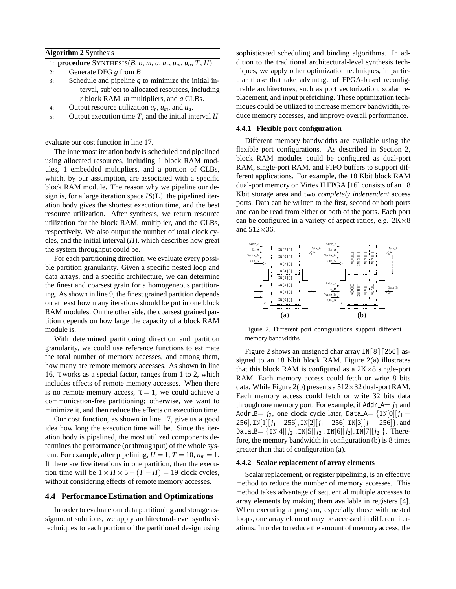| 1: <b>procedure</b> SYNTHESIS $(B, b, m, a, u_r, u_m, u_a, T, II)$ |
|--------------------------------------------------------------------|
|                                                                    |
| Schedule and pipeline $g$ to minimize the initial in-              |
| terval, subject to allocated resources, including                  |
|                                                                    |
|                                                                    |
|                                                                    |

5: Output execution time *T*, and the initial interval *II*

evaluate our cost function in line 17.

The innermost iteration body is scheduled and pipelined using allocated resources, including 1 block RAM modules, 1 embedded multipliers, and a portion of CLBs, which, by our assumption, are associated with a specific block RAM module. The reason why we pipeline our design is, for a large iteration space  $IS(L)$ , the pipelined iteration body gives the shortest execution time, and the best resource utilization. After synthesis, we return resource utilization for the block RAM, multiplier, and the CLBs, respectively. We also output the number of total clock cycles, and the initial interval (*II*), which describes how great the system throughput could be.

For each partitioning direction, we evaluate every possible partition granularity. Given a specific nested loop and data arrays, and a specific architecture, we can determine the finest and coarsest grain for a homogeneous partitioning. As shown in line 9, the finest grained partition depends on at least how many iterations should be put in one block RAM modules. On the other side, the coarsest grained partition depends on how large the capacity of a block RAM module is.

With determined partitioning direction and partition granularity, we could use reference functions to estimate the total number of memory accesses, and among them, how many are remote memory accesses. As shown in line 16, τ works as a special factor, ranges from 1 to 2, which includes effects of remote memory accesses. When there is no remote memory access,  $\tau = 1$ , we could achieve a communication-free partitioning; otherwise, we want to minimize it, and then reduce the effects on execution time.

Our cost function, as shown in line 17, give us a good idea how long the execution time will be. Since the iteration body is pipelined, the most utilized components determines the performance (or throughput) of the whole system. For example, after pipelining,  $II = 1$ ,  $T = 10$ ,  $u_m = 1$ . If there are five iterations in one partition, then the execution time will be  $1 \times I I \times 5 + (T - II) = 19$  clock cycles, without considering effects of remote memory accesses.

#### **4.4 Performance Estimation and Optimizations**

In order to evaluate our data partitioning and storage assignment solutions, we apply architectural-level synthesis techniques to each portion of the partitioned design using sophisticated scheduling and binding algorithms. In addition to the traditional architectural-level synthesis techniques, we apply other optimization techniques, in particular those that take advantage of FPGA-based reconfigurable architectures, such as port vectorization, scalar replacement, and input prefetching. These optimization techniques could be utilized to increase memory bandwidth, reduce memory accesses, and improve overall performance.

### **4.4.1 Flexible port configuration**

Different memory bandwidths are available using the flexible port configurations. As described in Section 2, block RAM modules could be configured as dual-port RAM, single-port RAM, and FIFO buffers to support different applications. For example, the 18 Kbit block RAM dual-port memory on Virtex II FPGA [16] consists of an 18 Kbit storage area and two *completely independent* access ports. Data can be written to the first, second or both ports and can be read from either or both of the ports. Each port can be configured in a variety of aspect ratios, e.g.  $2K \times 8$ and  $512\times36$ .



Figure 2. Different port configurations support different memory bandwidths

Figure 2 shows an unsigned char array IN[8][256] assigned to an 18 Kbit block RAM. Figure 2(a) illustrates that this block RAM is configured as a  $2K \times 8$  single-port RAM. Each memory access could fetch or write 8 bits data. While Figure 2(b) presents a  $512\times32$  dual-port RAM. Each memory access could fetch or write 32 bits data through one memory port. For example, if  $\text{Addr\_A} = j_1$  and Addr B=  $j_2$ , one clock cycle later, Data A= {IN[0][ $j_1$  – 256], IN[1][ $j_1 - 256$ ], IN[2][ $j_1 - 256$ ], IN[3][ $j_1 - 256$ ]}, and Data  $B = \{IN[4][j_2], IN[5][j_2], IN[6][j_2], IN[7][j_2]\}.$  Therefore, the memory bandwidth in configuration (b) is 8 times greater than that of configuration (a).

#### **4.4.2 Scalar replacement of array elements**

Scalar replacement, or register pipelining, is an effective method to reduce the number of memory accesses. This method takes advantage of sequential multiple accesses to array elements by making them available in registers [4]. When executing a program, especially those with nested loops, one array element may be accessed in different iterations. In order to reduce the amount of memory access, the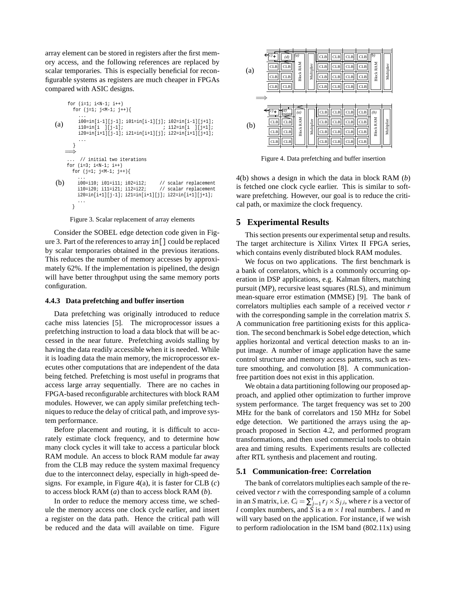array element can be stored in registers after the first memory access, and the following references are replaced by scalar temporaries. This is especially beneficial for reconfigurable systems as registers are much cheaper in FPGAs compared with ASIC designs.

```
(a)
    for (i=1; i< N-1; i++)for (j=1; j<M-1; j++){
        ...
i00=in[i-1][j-1]; i01=in[i-1][j]; i02=in[i-1][j+1];
        i10=in[i ][j-1]; ; i12=in[i ][j+1];
        i20=in[i+1][j-1]; i21=in[i+1][j]; i22=in[i+1][j+1];
        ...
      }
   =⇒
(b)
     ... // initial two iterations
    for (i=3; i < N-1; i++)for (j=1; j< M-1; j++)...
i00=i10; i01=i11; i02=i12; // scalar replacement
        i10=i20; i11=i21; i12=i22; // scalar replacement
        i20=in[i+1][j-1]; i21=in[i+1][j]; i22=in[i+1][j+1];
        ...
      }
```
#### Figure 3. Scalar replacement of array elements

Consider the SOBEL edge detection code given in Figure 3. Part of the references to array in[] could be replaced by scalar temporaries obtained in the previous iterations. This reduces the number of memory accesses by approximately 62%. If the implementation is pipelined, the design will have better throughput using the same memory ports configuration.

#### **4.4.3 Data prefetching and buffer insertion**

Data prefetching was originally introduced to reduce cache miss latencies [5]. The microprocessor issues a prefetching instruction to load a data block that will be accessed in the near future. Prefetching avoids stalling by having the data readily accessible when it is needed. While it is loading data the main memory, the microprocessor executes other computations that are independent of the data being fetched. Prefetching is most useful in programs that access large array sequentially. There are no caches in FPGA-based reconfigurable architectures with block RAM modules. However, we can apply similar prefetching techniques to reduce the delay of critical path, and improve system performance.

Before placement and routing, it is difficult to accurately estimate clock frequency, and to determine how many clock cycles it will take to access a particular block RAM module. An access to block RAM module far away from the CLB may reduce the system maximal frequency due to the interconnect delay, especially in high-speed designs. For example, in Figure 4(a), it is faster for CLB (*c*) to access block RAM (*a*) than to access block RAM (*b*).

In order to reduce the memory access time, we schedule the memory access one clock cycle earlier, and insert a register on the data path. Hence the critical path will be reduced and the data will available on time. Figure

| (a) | $\left( c\right)$ +<br>CLB<br><b>CLB</b><br><b>CLB</b> | (d)<br><b>CLB</b><br><b>CLB</b><br><b>CLB</b> | (a)<br><b>Block RAM</b>      | Multiplier | CLB<br><b>CLB</b><br><b>CLB</b><br><b>CLB</b> | <b>CLB</b><br><b>CLB</b><br><b>CLB</b><br><b>CLB</b> | <b>CLB</b><br><b>CLB</b><br><b>CLB</b><br><b>CLB</b> | <b>CLB</b><br><b>CLB</b><br>CLB<br><b>CLB</b>        | (b)<br><b>Block RAM</b> | Multiplier |
|-----|--------------------------------------------------------|-----------------------------------------------|------------------------------|------------|-----------------------------------------------|------------------------------------------------------|------------------------------------------------------|------------------------------------------------------|-------------------------|------------|
| (b) | c)<br><b>CLB</b><br><b>CLB</b><br>CLB                  | d)<br>register<br><b>CLB</b><br>CLB<br>CLB    | ⋹<br>(a)<br><b>Block RAM</b> | Multiplier | <b>CLB</b><br>CLB<br><b>CLB</b><br><b>CLB</b> | <b>CLB</b><br><b>CLB</b><br><b>CLB</b><br><b>CLB</b> | <b>CLB</b><br><b>CLB</b><br><b>CLB</b><br>CLB        | <b>CLB</b><br><b>CLB</b><br><b>CLB</b><br><b>CLB</b> | (b)<br><b>Block RAM</b> | Multiplier |

Figure 4. Data prefetching and buffer insertion

4(b) shows a design in which the data in block RAM (*b*) is fetched one clock cycle earlier. This is similar to software prefetching. However, our goal is to reduce the critical path, or maximize the clock frequency.

### **5 Experimental Results**

This section presents our experimental setup and results. The target architecture is Xilinx Virtex II FPGA series, which contains evenly distributed block RAM modules.

We focus on two applications. The first benchmark is a bank of correlators, which is a commonly occurring operation in DSP applications, e.g. Kalman filters, matching pursuit (MP), recursive least squares (RLS), and minimum mean-square error estimation (MMSE) [9]. The bank of correlators multiplies each sample of a received vector *r* with the corresponding sample in the correlation matrix *S*. A communication free partitioning exists for this application. The second benchmark is Sobel edge detection, which applies horizontal and vertical detection masks to an input image. A number of image application have the same control structure and memory access patterns, such as texture smoothing, and convolution [8]. A communicationfree partition does not exist in this application.

We obtain a data partitioning following our proposed approach, and applied other optimization to further improve system performance. The target frequency was set to 200 MHz for the bank of correlators and 150 MHz for Sobel edge detection. We partitioned the arrays using the approach proposed in Section 4.2, and performed program transformations, and then used commercial tools to obtain area and timing results. Experiments results are collected after RTL synthesis and placement and routing.

### **5.1 Communication-free: Correlation**

The bank of correlators multiplies each sample of the received vector *r* with the corresponding sample of a column in an *S* matrix, i.e.  $C_i = \sum_{j=1}^{l} r_j \times S_{j,i}$ , where *r* is a vector of *l* complex numbers, and *S* is a  $m \times l$  real numbers. *l* and *m* will vary based on the application. For instance, if we wish to perform radiolocation in the ISM band (802.11x) using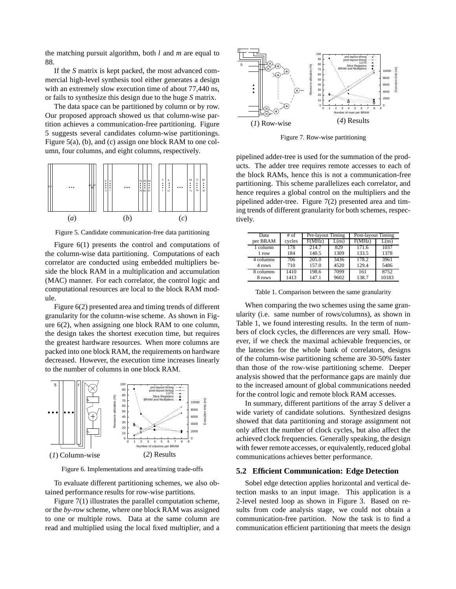the matching pursuit algorithm, both *l* and *m* are equal to 88.

If the *S* matrix is kept packed, the most advanced commercial high-level synthesis tool either generates a design with an extremely slow execution time of about 77,440 ns, or fails to synthesize this design due to the huge *S* matrix.

The data space can be partitioned by column or by row. Our proposed approach showed us that column-wise partition achieves a communication-free partitioning. Figure 5 suggests several candidates column-wise partitionings. Figure 5(a), (b), and (c) assign one block RAM to one column, four columns, and eight columns, respectively.



Figure 5. Candidate communication-free data partitioning

Figure 6(1) presents the control and computations of the column-wise data partitioning. Computations of each correlator are conducted using embedded multipliers beside the block RAM in a multiplication and accumulation (MAC) manner. For each correlator, the control logic and computational resources are local to the block RAM module.

Figure 6(2) presented area and timing trends of different granularity for the column-wise scheme. As shown in Figure 6(2), when assigning one block RAM to one column, the design takes the shortest execution time, but requires the greatest hardware resources. When more columns are packed into one block RAM, the requirements on hardware decreased. However, the execution time increases linearly to the number of columns in one block RAM.



Figure 6. Implementations and area/timing trade-offs

To evaluate different partitioning schemes, we also obtained performance results for row-wise partitions.

Figure 7(1) illustrates the parallel computation scheme, or the *by-row* scheme, where one block RAM was assigned to one or multiple rows. Data at the same column are read and multiplied using the local fixed multiplier, and a



Figure 7. Row-wise partitioning

pipelined adder-tree is used for the summation of the products. The adder tree requires remote accesses to each of the block RAMs, hence this is not a communication-free partitioning. This scheme parallelizes each correlator, and hence requires a global control on the multipliers and the pipelined adder-tree. Figure 7(2) presented area and timing trends of different granularity for both schemes, respectively.

| Data      | $#$ of | Pre-layout Timing |                    | Post-layout Timing |       |  |
|-----------|--------|-------------------|--------------------|--------------------|-------|--|
| per BRAM  | cycles | F(MHz)            | $\overline{L}(ns)$ | F(MHz)             | L(ns) |  |
| 1 column  | 178    | 214.7             | 829                | 171.6              | 1037  |  |
| 1 row     | 184    | 140.5             | 1309               | 133.5              | 1378  |  |
| 4 columns | 706    | 205.0             | 3436               | 178.2              | 3961  |  |
| 4 rows    | 710    | 157.0             | 4520               | 129.4              | 5486  |  |
| 8 columns | 1410   | 198.6             | 7099               | 161                | 8752  |  |
| 8 rows    | 1413   | 147.1             | 9602               | 138.7              | 10183 |  |

Table 1. Comparison between the same granularity

When comparing the two schemes using the same granularity (i.e. same number of rows/columns), as shown in Table 1, we found interesting results. In the term of numbers of clock cycles, the differences are very small. However, if we check the maximal achievable frequencies, or the latencies for the whole bank of correlators, designs of the column-wise partitioning scheme are 30-50% faster than those of the row-wise partitioning scheme. Deeper analysis showed that the performance gaps are mainly due to the increased amount of global communications needed for the control logic and remote block RAM accesses.

In summary, different partitions of the array *S* deliver a wide variety of candidate solutions. Synthesized designs showed that data partitioning and storage assignment not only affect the number of clock cycles, but also affect the achieved clock frequencies. Generally speaking, the design with fewer remote accesses, or equivalently, reduced global communications achieves better performance.

### **5.2 Efficient Communication: Edge Detection**

Sobel edge detection applies horizontal and vertical detection masks to an input image. This application is a 2-level nested loop as shown in Figure 3. Based on results from code analysis stage, we could not obtain a communication-free partition. Now the task is to find a communication efficient partitioning that meets the design